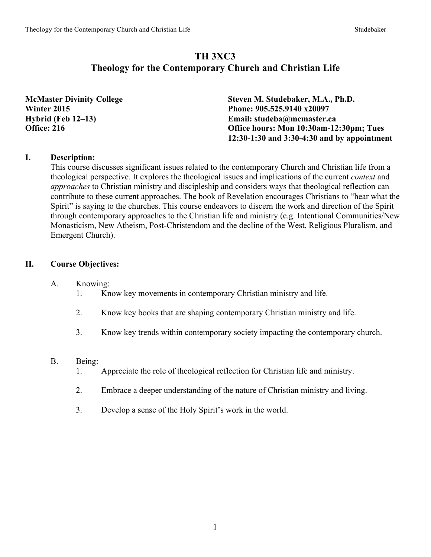## **TH 3XC3 Theology for the Contemporary Church and Christian Life**

**McMaster Divinity College Steven M. Studebaker, M.A., Ph.D. Winter 2015 Phone: 905.525.9140 x20097 Hybrid (Feb 12–13) Email: studeba@mcmaster.ca Office: 216 Office hours: Mon 10:30am-12:30pm; Tues 12:30-1:30 and 3:30-4:30 and by appointment**

## **I. Description:**

This course discusses significant issues related to the contemporary Church and Christian life from a theological perspective. It explores the theological issues and implications of the current *context* and *approaches* to Christian ministry and discipleship and considers ways that theological reflection can contribute to these current approaches. The book of Revelation encourages Christians to "hear what the Spirit" is saying to the churches. This course endeavors to discern the work and direction of the Spirit through contemporary approaches to the Christian life and ministry (e.g. Intentional Communities/New Monasticism, New Atheism, Post-Christendom and the decline of the West, Religious Pluralism, and Emergent Church).

## **II. Course Objectives:**

- A. Knowing:
	- 1. Know key movements in contemporary Christian ministry and life.
	- 2. Know key books that are shaping contemporary Christian ministry and life.
	- 3. Know key trends within contemporary society impacting the contemporary church.

#### B. Being:

- 1. Appreciate the role of theological reflection for Christian life and ministry.
- 2. Embrace a deeper understanding of the nature of Christian ministry and living.
- 3. Develop a sense of the Holy Spirit's work in the world.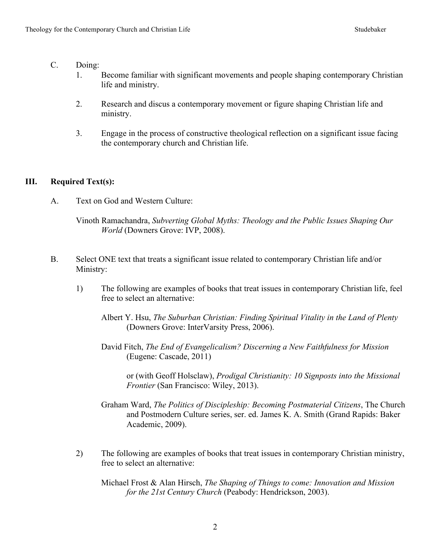## C. Doing:

- 1. Become familiar with significant movements and people shaping contemporary Christian life and ministry.
- 2. Research and discus a contemporary movement or figure shaping Christian life and ministry.
- 3. Engage in the process of constructive theological reflection on a significant issue facing the contemporary church and Christian life.

## **III. Required Text(s):**

A. Text on God and Western Culture:

- B. Select ONE text that treats a significant issue related to contemporary Christian life and/or Ministry:
	- 1) The following are examples of books that treat issues in contemporary Christian life, feel free to select an alternative:

Albert Y. Hsu, *The Suburban Christian: Finding Spiritual Vitality in the Land of Plenty* (Downers Grove: InterVarsity Press, 2006).

David Fitch, *The End of Evangelicalism? Discerning a New Faithfulness for Mission* (Eugene: Cascade, 2011)

or (with Geoff Holsclaw), *Prodigal Christianity: 10 Signposts into the Missional Frontier* (San Francisco: Wiley, 2013).

- Graham Ward, *The Politics of Discipleship: Becoming Postmaterial Citizens*, The Church and Postmodern Culture series, ser. ed. James K. A. Smith (Grand Rapids: Baker Academic, 2009).
- 2) The following are examples of books that treat issues in contemporary Christian ministry, free to select an alternative:

Michael Frost & Alan Hirsch, *The Shaping of Things to come: Innovation and Mission for the 21st Century Church* (Peabody: Hendrickson, 2003).

Vinoth Ramachandra, *Subverting Global Myths: Theology and the Public Issues Shaping Our World* (Downers Grove: IVP, 2008).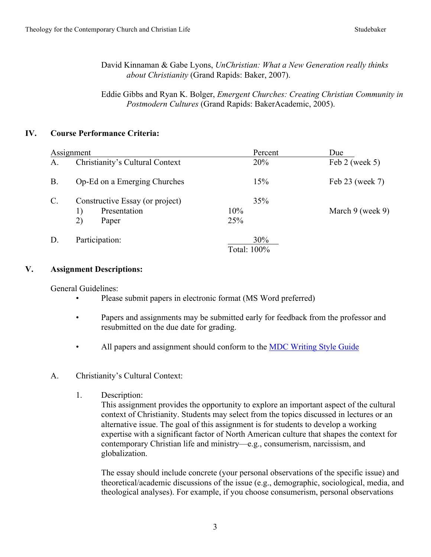David Kinnaman & Gabe Lyons, *UnChristian: What a New Generation really thinks about Christianity* (Grand Rapids: Baker, 2007).

Eddie Gibbs and Ryan K. Bolger, *Emergent Churches: Creating Christian Community in Postmodern Cultures* (Grand Rapids: BakerAcademic, 2005).

## **IV. Course Performance Criteria:**

| Assignment     |                                 | Percent     | Due               |
|----------------|---------------------------------|-------------|-------------------|
| A.             | Christianity's Cultural Context | 20%         | Feb $2$ (week 5)  |
| <b>B.</b>      | Op-Ed on a Emerging Churches    | 15%         | Feb $23$ (week 7) |
| $\mathbf{C}$ . | Constructive Essay (or project) | 35%         |                   |
|                | Presentation<br>1)              | 10%         | March 9 (week 9)  |
|                | (2)<br>Paper                    | 25%         |                   |
| D.             | Participation:                  | 30%         |                   |
|                |                                 | Total: 100% |                   |

#### **V. Assignment Descriptions:**

General Guidelines:

- Please submit papers in electronic format (MS Word preferred)
- Papers and assignments may be submitted early for feedback from the professor and resubmitted on the due date for grading.
- All papers and assignment should conform to the MDC Writing Style Guide
- A. Christianity's Cultural Context:
	- 1. Description:

This assignment provides the opportunity to explore an important aspect of the cultural context of Christianity. Students may select from the topics discussed in lectures or an alternative issue. The goal of this assignment is for students to develop a working expertise with a significant factor of North American culture that shapes the context for contemporary Christian life and ministry—e.g., consumerism, narcissism, and globalization.

The essay should include concrete (your personal observations of the specific issue) and theoretical/academic discussions of the issue (e.g., demographic, sociological, media, and theological analyses). For example, if you choose consumerism, personal observations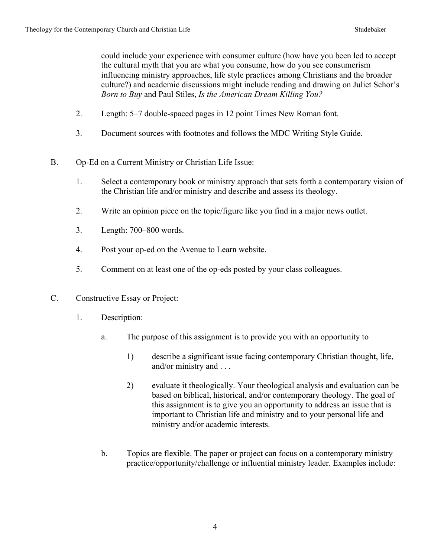could include your experience with consumer culture (how have you been led to accept the cultural myth that you are what you consume, how do you see consumerism influencing ministry approaches, life style practices among Christians and the broader culture?) and academic discussions might include reading and drawing on Juliet Schor's *Born to Buy* and Paul Stiles, *Is the American Dream Killing You?*

- 2. Length: 5–7 double-spaced pages in 12 point Times New Roman font.
- 3. Document sources with footnotes and follows the MDC Writing Style Guide.
- B. Op-Ed on a Current Ministry or Christian Life Issue:
	- 1. Select a contemporary book or ministry approach that sets forth a contemporary vision of the Christian life and/or ministry and describe and assess its theology.
	- 2. Write an opinion piece on the topic/figure like you find in a major news outlet.
	- 3. Length: 700–800 words.
	- 4. Post your op-ed on the Avenue to Learn website.
	- 5. Comment on at least one of the op-eds posted by your class colleagues.
- C. Constructive Essay or Project:
	- 1. Description:
		- a. The purpose of this assignment is to provide you with an opportunity to
			- 1) describe a significant issue facing contemporary Christian thought, life, and/or ministry and . . .
			- 2) evaluate it theologically. Your theological analysis and evaluation can be based on biblical, historical, and/or contemporary theology. The goal of this assignment is to give you an opportunity to address an issue that is important to Christian life and ministry and to your personal life and ministry and/or academic interests.
		- b. Topics are flexible. The paper or project can focus on a contemporary ministry practice/opportunity/challenge or influential ministry leader. Examples include: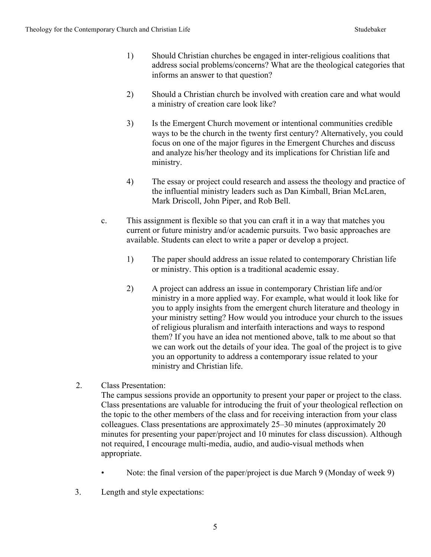- 1) Should Christian churches be engaged in inter-religious coalitions that address social problems/concerns? What are the theological categories that informs an answer to that question?
- 2) Should a Christian church be involved with creation care and what would a ministry of creation care look like?
- 3) Is the Emergent Church movement or intentional communities credible ways to be the church in the twenty first century? Alternatively, you could focus on one of the major figures in the Emergent Churches and discuss and analyze his/her theology and its implications for Christian life and ministry.
- 4) The essay or project could research and assess the theology and practice of the influential ministry leaders such as Dan Kimball, Brian McLaren, Mark Driscoll, John Piper, and Rob Bell.
- c. This assignment is flexible so that you can craft it in a way that matches you current or future ministry and/or academic pursuits. Two basic approaches are available. Students can elect to write a paper or develop a project.
	- 1) The paper should address an issue related to contemporary Christian life or ministry. This option is a traditional academic essay.
	- 2) A project can address an issue in contemporary Christian life and/or ministry in a more applied way. For example, what would it look like for you to apply insights from the emergent church literature and theology in your ministry setting? How would you introduce your church to the issues of religious pluralism and interfaith interactions and ways to respond them? If you have an idea not mentioned above, talk to me about so that we can work out the details of your idea. The goal of the project is to give you an opportunity to address a contemporary issue related to your ministry and Christian life.
- 2. Class Presentation:

The campus sessions provide an opportunity to present your paper or project to the class. Class presentations are valuable for introducing the fruit of your theological reflection on the topic to the other members of the class and for receiving interaction from your class colleagues. Class presentations are approximately 25–30 minutes (approximately 20 minutes for presenting your paper/project and 10 minutes for class discussion). Although not required, I encourage multi-media, audio, and audio-visual methods when appropriate.

- Note: the final version of the paper/project is due March 9 (Monday of week 9)
- 3. Length and style expectations: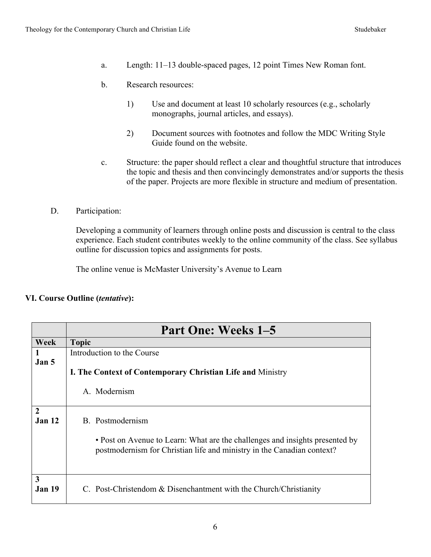- a. Length: 11–13 double-spaced pages, 12 point Times New Roman font.
- b. Research resources:
	- 1) Use and document at least 10 scholarly resources (e.g., scholarly monographs, journal articles, and essays).
	- 2) Document sources with footnotes and follow the MDC Writing Style Guide found on the website.
- c. Structure: the paper should reflect a clear and thoughtful structure that introduces the topic and thesis and then convincingly demonstrates and/or supports the thesis of the paper. Projects are more flexible in structure and medium of presentation.
- D. Participation:

Developing a community of learners through online posts and discussion is central to the class experience. Each student contributes weekly to the online community of the class. See syllabus outline for discussion topics and assignments for posts.

The online venue is McMaster University's Avenue to Learn

## **VI. Course Outline (***tentative***):**

|                                     | <b>Part One: Weeks 1–5</b>                                                                                                                                                 |
|-------------------------------------|----------------------------------------------------------------------------------------------------------------------------------------------------------------------------|
| <b>Week</b>                         | <b>Topic</b>                                                                                                                                                               |
|                                     | Introduction to the Course                                                                                                                                                 |
| Jan 5                               | I. The Context of Contemporary Christian Life and Ministry                                                                                                                 |
|                                     | A. Modernism                                                                                                                                                               |
| $\overline{2}$<br>Jan <sub>12</sub> | B. Postmodernism<br>• Post on Avenue to Learn: What are the challenges and insights presented by<br>postmodernism for Christian life and ministry in the Canadian context? |
| 3<br><b>Jan 19</b>                  | C. Post-Christendom & Disenchantment with the Church/Christianity                                                                                                          |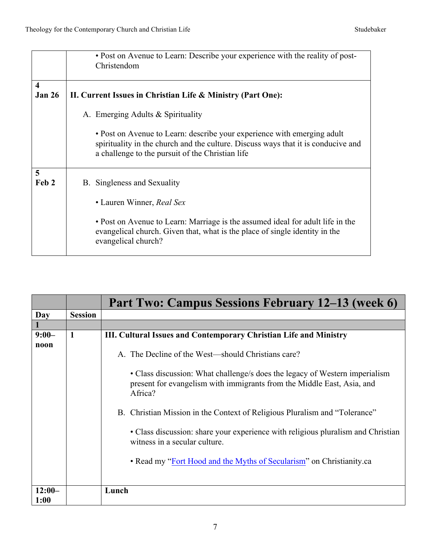|                       | • Post on Avenue to Learn: Describe your experience with the reality of post-<br>Christendom                                                                                                                                                            |  |
|-----------------------|---------------------------------------------------------------------------------------------------------------------------------------------------------------------------------------------------------------------------------------------------------|--|
| 4<br><b>Jan 26</b>    | II. Current Issues in Christian Life & Ministry (Part One):                                                                                                                                                                                             |  |
|                       | A. Emerging Adults & Spirituality                                                                                                                                                                                                                       |  |
|                       | • Post on Avenue to Learn: describe your experience with emerging adult<br>spirituality in the church and the culture. Discuss ways that it is conducive and<br>a challenge to the pursuit of the Christian life                                        |  |
| 5<br>Feb <sub>2</sub> | <b>B.</b> Singleness and Sexuality<br>• Lauren Winner, Real Sex<br>• Post on Avenue to Learn: Marriage is the assumed ideal for adult life in the<br>evangelical church. Given that, what is the place of single identity in the<br>evangelical church? |  |

|          |                | Part Two: Campus Sessions February 12–13 (week 6)                                                                                                                                                                                                                                                                                                                                                                                                                                                 |
|----------|----------------|---------------------------------------------------------------------------------------------------------------------------------------------------------------------------------------------------------------------------------------------------------------------------------------------------------------------------------------------------------------------------------------------------------------------------------------------------------------------------------------------------|
| Day      | <b>Session</b> |                                                                                                                                                                                                                                                                                                                                                                                                                                                                                                   |
|          |                |                                                                                                                                                                                                                                                                                                                                                                                                                                                                                                   |
| $9:00 -$ | $\mathbf{1}$   | III. Cultural Issues and Contemporary Christian Life and Ministry                                                                                                                                                                                                                                                                                                                                                                                                                                 |
| noon     |                | A. The Decline of the West—should Christians care?<br>• Class discussion: What challenge/s does the legacy of Western imperialism<br>present for evangelism with immigrants from the Middle East, Asia, and<br>Africa?<br>B. Christian Mission in the Context of Religious Pluralism and "Tolerance"<br>• Class discussion: share your experience with religious pluralism and Christian<br>witness in a secular culture.<br>• Read my "Fort Hood and the Myths of Secularism" on Christianity ca |
|          |                |                                                                                                                                                                                                                                                                                                                                                                                                                                                                                                   |
| $12:00-$ |                | Lunch                                                                                                                                                                                                                                                                                                                                                                                                                                                                                             |
| 1:00     |                |                                                                                                                                                                                                                                                                                                                                                                                                                                                                                                   |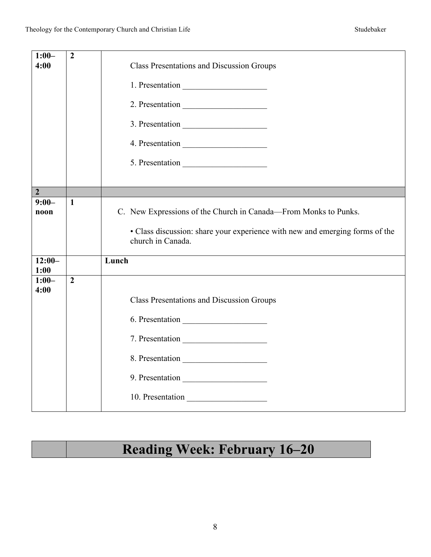| $1:00-$<br>4:00   | $\boldsymbol{2}$ | <b>Class Presentations and Discussion Groups</b><br>1. Presentation<br>2. Presentation<br>3. Presentation<br>4. Presentation<br>5. Presentation  |
|-------------------|------------------|--------------------------------------------------------------------------------------------------------------------------------------------------|
| $\overline{2}$    |                  |                                                                                                                                                  |
| $9:00-$           | $\mathbf{1}$     |                                                                                                                                                  |
| noon              |                  | C. New Expressions of the Church in Canada—From Monks to Punks.                                                                                  |
|                   |                  | • Class discussion: share your experience with new and emerging forms of the<br>church in Canada.                                                |
| $12:00 -$<br>1:00 |                  | Lunch                                                                                                                                            |
| $1:00-$<br>4:00   | $\overline{2}$   | <b>Class Presentations and Discussion Groups</b><br>6. Presentation<br>7. Presentation<br>8. Presentation<br>9. Presentation<br>10. Presentation |

# **Reading Week: February 16–20**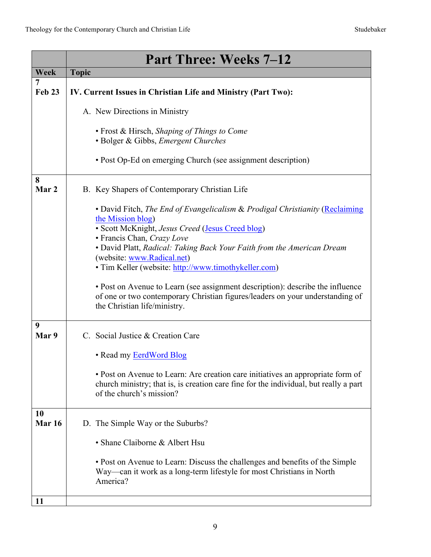|                     | <b>Part Three: Weeks 7–12</b>                                                                                                                                                                        |  |
|---------------------|------------------------------------------------------------------------------------------------------------------------------------------------------------------------------------------------------|--|
| Week                | <b>Topic</b>                                                                                                                                                                                         |  |
| 7<br><b>Feb 23</b>  | IV. Current Issues in Christian Life and Ministry (Part Two):                                                                                                                                        |  |
|                     | A. New Directions in Ministry                                                                                                                                                                        |  |
|                     | • Frost & Hirsch, Shaping of Things to Come<br>· Bolger & Gibbs, Emergent Churches                                                                                                                   |  |
|                     | • Post Op-Ed on emerging Church (see assignment description)                                                                                                                                         |  |
| 8<br>Mar 2          | B. Key Shapers of Contemporary Christian Life                                                                                                                                                        |  |
|                     | • David Fitch, The End of Evangelicalism & Prodigal Christianity (Reclaiming<br>the Mission blog)<br>· Scott McKnight, Jesus Creed (Jesus Creed blog)<br>• Francis Chan, Crazy Love                  |  |
|                     | • David Platt, Radical: Taking Back Your Faith from the American Dream<br>(website: www.Radical.net)<br>• Tim Keller (website: http://www.timothykeller.com)                                         |  |
|                     | • Post on Avenue to Learn (see assignment description): describe the influence<br>of one or two contemporary Christian figures/leaders on your understanding of<br>the Christian life/ministry.      |  |
| 9<br>Mar 9          | C. Social Justice & Creation Care                                                                                                                                                                    |  |
|                     | • Read my EerdWord Blog                                                                                                                                                                              |  |
|                     | • Post on Avenue to Learn: Are creation care initiatives an appropriate form of<br>church ministry; that is, is creation care fine for the individual, but really a part<br>of the church's mission? |  |
| 10<br><b>Mar 16</b> | D. The Simple Way or the Suburbs?                                                                                                                                                                    |  |
|                     | • Shane Claiborne & Albert Hsu                                                                                                                                                                       |  |
|                     | • Post on Avenue to Learn: Discuss the challenges and benefits of the Simple<br>Way—can it work as a long-term lifestyle for most Christians in North<br>America?                                    |  |
| 11                  |                                                                                                                                                                                                      |  |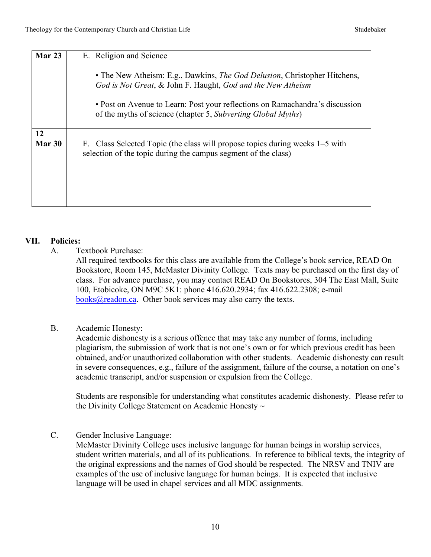| Mar 23       | E. Religion and Science                                                                                                                          |
|--------------|--------------------------------------------------------------------------------------------------------------------------------------------------|
|              | • The New Atheism: E.g., Dawkins, <i>The God Delusion</i> , Christopher Hitchens,<br>God is Not Great, & John F. Haught, God and the New Atheism |
|              | • Post on Avenue to Learn: Post your reflections on Ramachandra's discussion<br>of the myths of science (chapter 5, Subverting Global Myths)     |
| 12<br>Mar 30 | F. Class Selected Topic (the class will propose topics during weeks 1–5 with<br>selection of the topic during the campus segment of the class)   |

## **VII. Policies:**

A. Textbook Purchase:

All required textbooks for this class are available from the College's book service, READ On Bookstore, Room 145, McMaster Divinity College. Texts may be purchased on the first day of class. For advance purchase, you may contact READ On Bookstores, 304 The East Mall, Suite 100, Etobicoke, ON M9C 5K1: phone 416.620.2934; fax 416.622.2308; e-mail  $books@readon.ca.$  Other book services may also carry the texts.

B. Academic Honesty:

Academic dishonesty is a serious offence that may take any number of forms, including plagiarism, the submission of work that is not one's own or for which previous credit has been obtained, and/or unauthorized collaboration with other students. Academic dishonesty can result in severe consequences, e.g., failure of the assignment, failure of the course, a notation on one's academic transcript, and/or suspension or expulsion from the College.

Students are responsible for understanding what constitutes academic dishonesty. Please refer to the Divinity College Statement on Academic Honesty ~

C. Gender Inclusive Language:

McMaster Divinity College uses inclusive language for human beings in worship services, student written materials, and all of its publications. In reference to biblical texts, the integrity of the original expressions and the names of God should be respected. The NRSV and TNIV are examples of the use of inclusive language for human beings. It is expected that inclusive language will be used in chapel services and all MDC assignments.